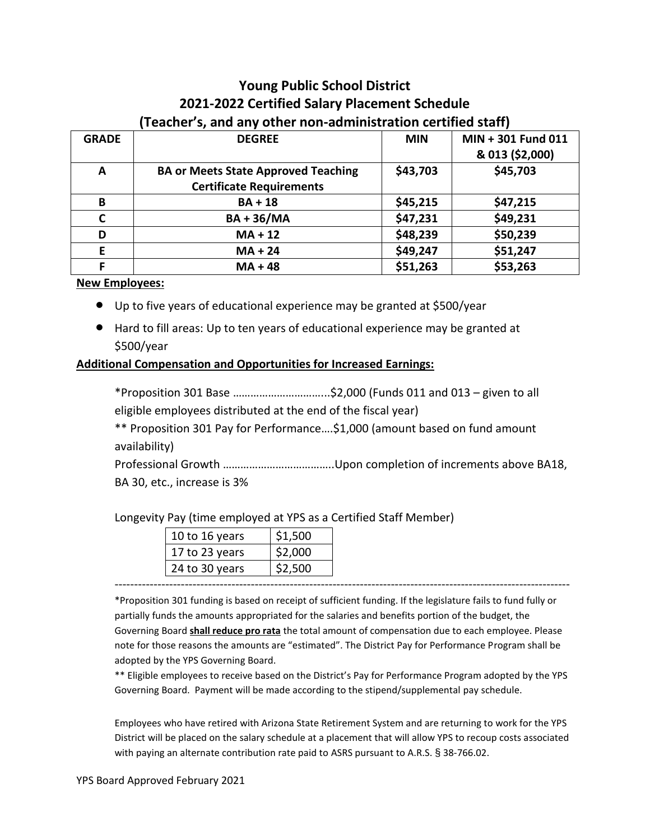### **Young Public School District 2021-2022 Certified Salary Placement Schedule (Teacher's, and any other non-administration certified staff)**

| <b>GRADE</b> | <b>DEGREE</b>                              | <b>MIN</b> | MIN + 301 Fund 011 |
|--------------|--------------------------------------------|------------|--------------------|
|              |                                            |            | & 013 (\$2,000)    |
| A            | <b>BA or Meets State Approved Teaching</b> |            | \$45,703           |
|              | <b>Certificate Requirements</b>            |            |                    |
| B            | $BA + 18$                                  | \$45,215   | \$47,215           |
| C            | <b>BA+36/MA</b>                            | \$47,231   | \$49,231           |
| D            | $MA + 12$                                  | \$48,239   | \$50,239           |
| E            | $MA + 24$                                  | \$49,247   | \$51,247           |
| F            | $MA + 48$                                  | \$51,263   | \$53,263           |

#### **New Employees:**

- Up to five years of educational experience may be granted at \$500/year
- Hard to fill areas: Up to ten years of educational experience may be granted at \$500/year

#### **Additional Compensation and Opportunities for Increased Earnings:**

\*Proposition 301 Base …………………………...\$2,000 (Funds 011 and 013 – given to all eligible employees distributed at the end of the fiscal year)

\*\* Proposition 301 Pay for Performance….\$1,000 (amount based on fund amount availability)

Professional Growth ………………………………..Upon completion of increments above BA18,

BA 30, etc., increase is 3%

Longevity Pay (time employed at YPS as a Certified Staff Member)

| 10 to 16 years | \$1,500            |
|----------------|--------------------|
| 17 to 23 years | \$2,000            |
| 24 to 30 years | S <sub>2.500</sub> |

\*Proposition 301 funding is based on receipt of sufficient funding. If the legislature fails to fund fully or partially funds the amounts appropriated for the salaries and benefits portion of the budget, the Governing Board **shall reduce pro rata** the total amount of compensation due to each employee. Please note for those reasons the amounts are "estimated". The District Pay for Performance Program shall be adopted by the YPS Governing Board.

---------------------------------------------------------------------------------------------------------------------

\*\* Eligible employees to receive based on the District's Pay for Performance Program adopted by the YPS Governing Board. Payment will be made according to the stipend/supplemental pay schedule.

Employees who have retired with Arizona State Retirement System and are returning to work for the YPS District will be placed on the salary schedule at a placement that will allow YPS to recoup costs associated with paying an alternate contribution rate paid to ASRS pursuant to A.R.S. § 38-766.02.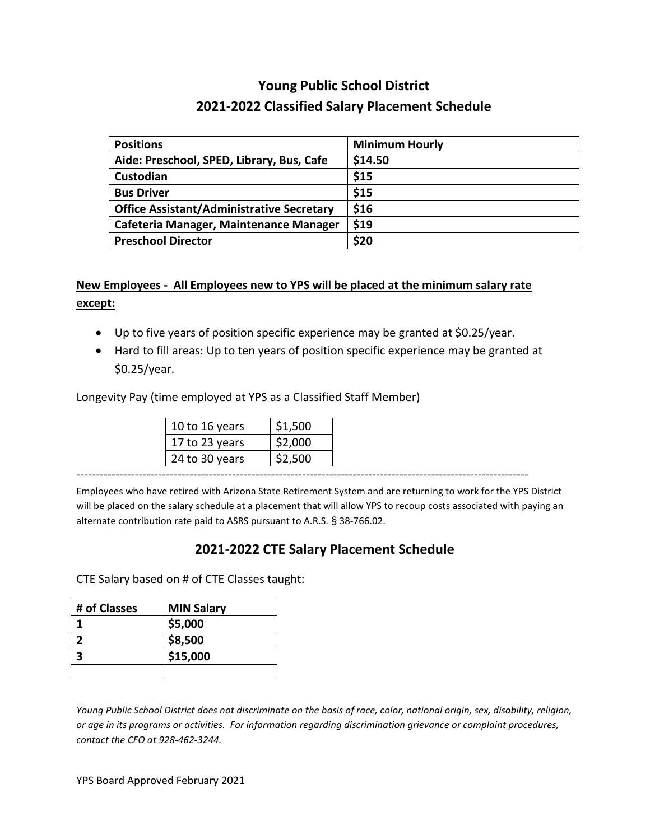## **Young Public School District 2021-2022 Classified Salary Placement Schedule**

| <b>Positions</b>                                 | <b>Minimum Hourly</b> |
|--------------------------------------------------|-----------------------|
| Aide: Preschool, SPED, Library, Bus, Cafe        | \$14.50               |
| Custodian                                        | \$15                  |
| <b>Bus Driver</b>                                | \$15                  |
| <b>Office Assistant/Administrative Secretary</b> | \$16                  |
| Cafeteria Manager, Maintenance Manager           | \$19                  |
| <b>Preschool Director</b>                        | \$20                  |

### **New Employees - All Employees new to YPS will be placed at the minimum salary rate except:**

- Up to five years of position specific experience may be granted at \$0.25/year.
- Hard to fill areas: Up to ten years of position specific experience may be granted at \$0.25/year.

Longevity Pay (time employed at YPS as a Classified Staff Member)

| 10 to 16 years | \$1,500 |
|----------------|---------|
| 17 to 23 years | \$2,000 |
| 24 to 30 years | \$2.500 |

Employees who have retired with Arizona State Retirement System and are returning to work for the YPS District will be placed on the salary schedule at a placement that will allow YPS to recoup costs associated with paying an alternate contribution rate paid to ASRS pursuant to A.R.S. § 38-766.02.

--------------------------------------------------------------------------------------------------------------------

### **2021-2022 CTE Salary Placement Schedule**

CTE Salary based on # of CTE Classes taught:

| # of Classes | <b>MIN Salary</b> |
|--------------|-------------------|
|              | \$5,000           |
|              | \$8,500           |
|              | \$15,000          |
|              |                   |

*Young Public School District does not discriminate on the basis of race, color, national origin, sex, disability, religion, or age in its programs or activities. For information regarding discrimination grievance or complaint procedures, contact the CFO at 928-462-3244.*